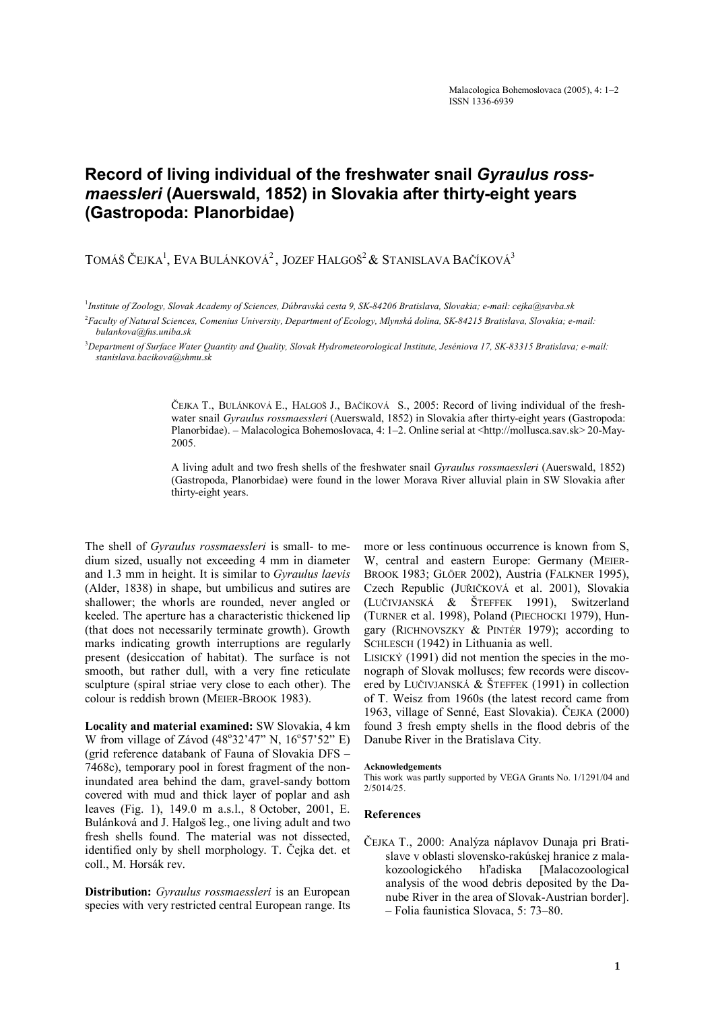## **Record of living individual of the freshwater snail** *Gyraulus rossmaessleri* **(Auerswald, 1852) in Slovakia after thirty-eight years (Gastropoda: Planorbidae)**

TOMÁŠ ČEJKA $^1_\cdot$  EVA BULÁNKOVÁ $^2_\cdot$  JOZEF HALGOŠ $^2$  & Stanislava Bačíková $^3$ 

1 *Institute of Zoology, Slovak Academy of Sciences, Dúbravská cesta 9, SK-84206 Bratislava, Slovakia; e-mail: cejka@savba.sk* 

2 *Faculty of Natural Sciences, Comenius University, Department of Ecology, Mlynská dolina, SK-84215 Bratislava, Slovakia; e-mail: bulankova@fns.uniba.sk* 

3 *Department of Surface Water Quantity and Quality, Slovak Hydrometeorological Institute, Jeséniova 17, SK-83315 Bratislava; e-mail: stanislava.bacikova@shmu.sk* 

> ČEJKA T., BULÁNKOVÁ E., HALGOŠ J., BAČÍKOVÁ S., 2005: Record of living individual of the freshwater snail *Gyraulus rossmaessleri* (Auerswald, 1852) in Slovakia after thirty-eight years (Gastropoda: Planorbidae). – Malacologica Bohemoslovaca, 4: 1–2. Online serial at <http://mollusca.sav.sk> 20-May-2005.

> A living adult and two fresh shells of the freshwater snail *Gyraulus rossmaessleri* (Auerswald, 1852) (Gastropoda, Planorbidae) were found in the lower Morava River alluvial plain in SW Slovakia after thirty-eight years.

The shell of *Gyraulus rossmaessleri* is small- to medium sized, usually not exceeding 4 mm in diameter and 1.3 mm in height. It is similar to *Gyraulus laevis*  (Alder, 1838) in shape, but umbilicus and sutires are shallower; the whorls are rounded, never angled or keeled. The aperture has a characteristic thickened lip (that does not necessarily terminate growth). Growth marks indicating growth interruptions are regularly present (desiccation of habitat). The surface is not smooth, but rather dull, with a very fine reticulate sculpture (spiral striae very close to each other). The colour is reddish brown (MEIER-BROOK 1983).

**Locality and material examined:** SW Slovakia, 4 km W from village of Závod  $(48°32'47"$  N,  $16°57'52"$  E) (grid reference databank of Fauna of Slovakia DFS – 7468c), temporary pool in forest fragment of the noninundated area behind the dam, gravel-sandy bottom covered with mud and thick layer of poplar and ash leaves (Fig. 1), 149.0 m a.s.l., 8 October, 2001, E. Bulánková and J. Halgoš leg., one living adult and two fresh shells found. The material was not dissected, identified only by shell morphology. T. Čejka det. et coll., M. Horsák rev.

**Distribution:** *Gyraulus rossmaessleri* is an European species with very restricted central European range. Its more or less continuous occurrence is known from S, W, central and eastern Europe: Germany (MEIER-BROOK 1983; GLÖER 2002), Austria (FALKNER 1995), Czech Republic (JUŘIČKOVÁ et al. 2001), Slovakia (LUČIVJANSKÁ & ŠTEFFEK 1991), Switzerland (TURNER et al. 1998), Poland (PIECHOCKI 1979), Hungary (RICHNOVSZKY & PINTÉR 1979); according to SCHLESCH (1942) in Lithuania as well.

LISICKÝ (1991) did not mention the species in the monograph of Slovak molluscs; few records were discovered by LUČIVJANSKÁ & ŠTEFFEK (1991) in collection of T. Weisz from 1960s (the latest record came from 1963, village of Senné, East Slovakia). ČEJKA (2000) found 3 fresh empty shells in the flood debris of the Danube River in the Bratislava City.

## **Acknowledgements**

This work was partly supported by VEGA Grants No. 1/1291/04 and 2/5014/25.

## **References**

ČEJKA T., 2000: Analýza náplavov Dunaja pri Bratislave v oblasti slovensko-rakúskej hranice z malakozoologického hľadiska [Malacozoological analysis of the wood debris deposited by the Danube River in the area of Slovak-Austrian border]. – Folia faunistica Slovaca, 5: 73–80.